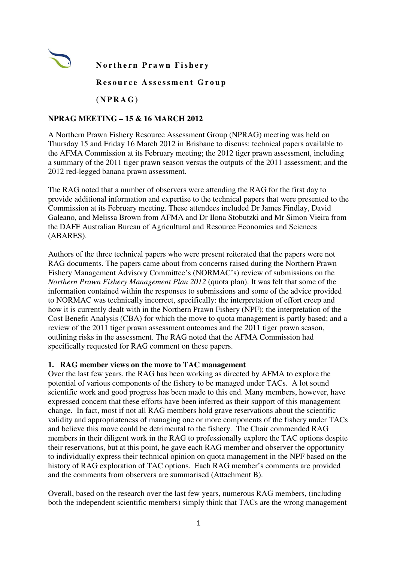

**Northern Prawn Fishery** 

Resource Assessment Group

**( N P R A G )** 

### **NPRAG MEETING – 15 & 16 MARCH 2012**

A Northern Prawn Fishery Resource Assessment Group (NPRAG) meeting was held on Thursday 15 and Friday 16 March 2012 in Brisbane to discuss: technical papers available to the AFMA Commission at its February meeting; the 2012 tiger prawn assessment, including a summary of the 2011 tiger prawn season versus the outputs of the 2011 assessment; and the 2012 red-legged banana prawn assessment.

The RAG noted that a number of observers were attending the RAG for the first day to provide additional information and expertise to the technical papers that were presented to the Commission at its February meeting. These attendees included Dr James Findlay, David Galeano, and Melissa Brown from AFMA and Dr Ilona Stobutzki and Mr Simon Vieira from the DAFF Australian Bureau of Agricultural and Resource Economics and Sciences (ABARES).

Authors of the three technical papers who were present reiterated that the papers were not RAG documents. The papers came about from concerns raised during the Northern Prawn Fishery Management Advisory Committee's (NORMAC's) review of submissions on the *Northern Prawn Fishery Management Plan 2012* (quota plan). It was felt that some of the information contained within the responses to submissions and some of the advice provided to NORMAC was technically incorrect, specifically: the interpretation of effort creep and how it is currently dealt with in the Northern Prawn Fishery (NPF); the interpretation of the Cost Benefit Analysis (CBA) for which the move to quota management is partly based; and a review of the 2011 tiger prawn assessment outcomes and the 2011 tiger prawn season, outlining risks in the assessment. The RAG noted that the AFMA Commission had specifically requested for RAG comment on these papers.

### **1. RAG member views on the move to TAC management**

Over the last few years, the RAG has been working as directed by AFMA to explore the potential of various components of the fishery to be managed under TACs. A lot sound scientific work and good progress has been made to this end. Many members, however, have expressed concern that these efforts have been inferred as their support of this management change. In fact, most if not all RAG members hold grave reservations about the scientific validity and appropriateness of managing one or more components of the fishery under TACs and believe this move could be detrimental to the fishery. The Chair commended RAG members in their diligent work in the RAG to professionally explore the TAC options despite their reservations, but at this point, he gave each RAG member and observer the opportunity to individually express their technical opinion on quota management in the NPF based on the history of RAG exploration of TAC options. Each RAG member's comments are provided and the comments from observers are summarised (Attachment B).

Overall, based on the research over the last few years, numerous RAG members, (including both the independent scientific members) simply think that TACs are the wrong management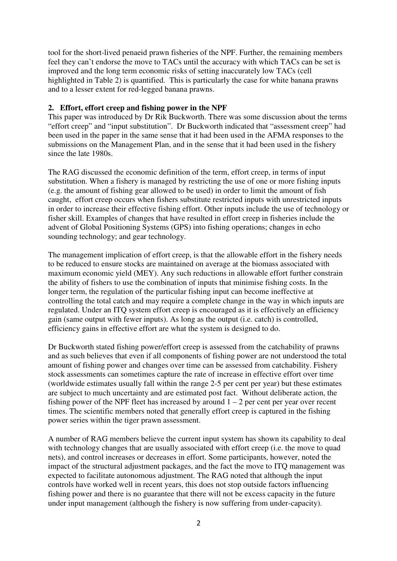tool for the short-lived penaeid prawn fisheries of the NPF. Further, the remaining members feel they can't endorse the move to TACs until the accuracy with which TACs can be set is improved and the long term economic risks of setting inaccurately low TACs (cell highlighted in Table 2) is quantified. This is particularly the case for white banana prawns and to a lesser extent for red-legged banana prawns.

### **2. Effort, effort creep and fishing power in the NPF**

This paper was introduced by Dr Rik Buckworth. There was some discussion about the terms "effort creep" and "input substitution". Dr Buckworth indicated that "assessment creep" had been used in the paper in the same sense that it had been used in the AFMA responses to the submissions on the Management Plan, and in the sense that it had been used in the fishery since the late 1980s.

The RAG discussed the economic definition of the term, effort creep, in terms of input substitution. When a fishery is managed by restricting the use of one or more fishing inputs (e.g. the amount of fishing gear allowed to be used) in order to limit the amount of fish caught, effort creep occurs when fishers substitute restricted inputs with unrestricted inputs in order to increase their effective fishing effort. Other inputs include the use of technology or fisher skill. Examples of changes that have resulted in effort creep in fisheries include the advent of Global Positioning Systems (GPS) into fishing operations; changes in echo sounding technology; and gear technology.

The management implication of effort creep, is that the allowable effort in the fishery needs to be reduced to ensure stocks are maintained on average at the biomass associated with maximum economic yield (MEY). Any such reductions in allowable effort further constrain the ability of fishers to use the combination of inputs that minimise fishing costs. In the longer term, the regulation of the particular fishing input can become ineffective at controlling the total catch and may require a complete change in the way in which inputs are regulated. Under an ITQ system effort creep is encouraged as it is effectively an efficiency gain (same output with fewer inputs). As long as the output (i.e. catch) is controlled, efficiency gains in effective effort are what the system is designed to do.

Dr Buckworth stated fishing power/effort creep is assessed from the catchability of prawns and as such believes that even if all components of fishing power are not understood the total amount of fishing power and changes over time can be assessed from catchability. Fishery stock assessments can sometimes capture the rate of increase in effective effort over time (worldwide estimates usually fall within the range 2-5 per cent per year) but these estimates are subject to much uncertainty and are estimated post fact. Without deliberate action, the fishing power of the NPF fleet has increased by around  $1 - 2$  per cent per year over recent times. The scientific members noted that generally effort creep is captured in the fishing power series within the tiger prawn assessment.

A number of RAG members believe the current input system has shown its capability to deal with technology changes that are usually associated with effort creep (i.e. the move to quad nets), and control increases or decreases in effort. Some participants, however, noted the impact of the structural adjustment packages, and the fact the move to ITQ management was expected to facilitate autonomous adjustment. The RAG noted that although the input controls have worked well in recent years, this does not stop outside factors influencing fishing power and there is no guarantee that there will not be excess capacity in the future under input management (although the fishery is now suffering from under-capacity).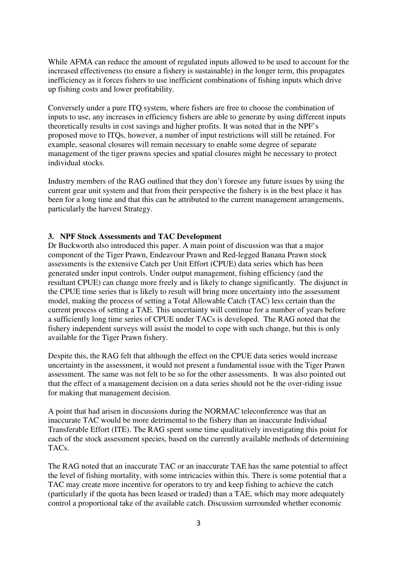While AFMA can reduce the amount of regulated inputs allowed to be used to account for the increased effectiveness (to ensure a fishery is sustainable) in the longer term, this propagates inefficiency as it forces fishers to use inefficient combinations of fishing inputs which drive up fishing costs and lower profitability.

Conversely under a pure ITQ system, where fishers are free to choose the combination of inputs to use, any increases in efficiency fishers are able to generate by using different inputs theoretically results in cost savings and higher profits. It was noted that in the NPF's proposed move to ITQs, however, a number of input restrictions will still be retained. For example, seasonal closures will remain necessary to enable some degree of separate management of the tiger prawns species and spatial closures might be necessary to protect individual stocks.

Industry members of the RAG outlined that they don't foresee any future issues by using the current gear unit system and that from their perspective the fishery is in the best place it has been for a long time and that this can be attributed to the current management arrangements, particularly the harvest Strategy.

### **3. NPF Stock Assessments and TAC Development**

Dr Buckworth also introduced this paper. A main point of discussion was that a major component of the Tiger Prawn, Endeavour Prawn and Red-legged Banana Prawn stock assessments is the extensive Catch per Unit Effort (CPUE) data series which has been generated under input controls. Under output management, fishing efficiency (and the resultant CPUE) can change more freely and is likely to change significantly. The disjunct in the CPUE time series that is likely to result will bring more uncertainty into the assessment model, making the process of setting a Total Allowable Catch (TAC) less certain than the current process of setting a TAE. This uncertainty will continue for a number of years before a sufficiently long time series of CPUE under TACs is developed. The RAG noted that the fishery independent surveys will assist the model to cope with such change, but this is only available for the Tiger Prawn fishery.

Despite this, the RAG felt that although the effect on the CPUE data series would increase uncertainty in the assessment, it would not present a fundamental issue with the Tiger Prawn assessment. The same was not felt to be so for the other assessments. It was also pointed out that the effect of a management decision on a data series should not be the over-riding issue for making that management decision.

A point that had arisen in discussions during the NORMAC teleconference was that an inaccurate TAC would be more detrimental to the fishery than an inaccurate Individual Transferable Effort (ITE). The RAG spent some time qualitatively investigating this point for each of the stock assessment species, based on the currently available methods of determining TACs.

The RAG noted that an inaccurate TAC or an inaccurate TAE has the same potential to affect the level of fishing mortality, with some intricacies within this. There is some potential that a TAC may create more incentive for operators to try and keep fishing to achieve the catch (particularly if the quota has been leased or traded) than a TAE, which may more adequately control a proportional take of the available catch. Discussion surrounded whether economic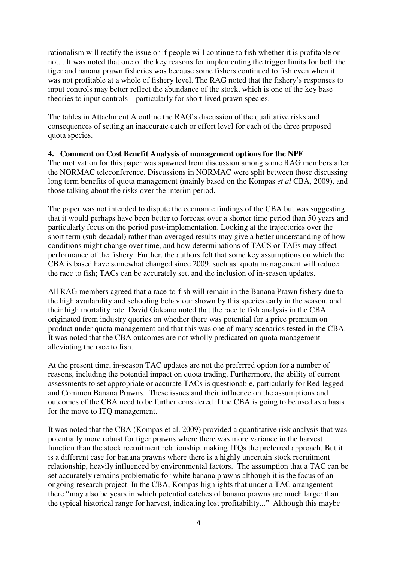rationalism will rectify the issue or if people will continue to fish whether it is profitable or not. . It was noted that one of the key reasons for implementing the trigger limits for both the tiger and banana prawn fisheries was because some fishers continued to fish even when it was not profitable at a whole of fishery level. The RAG noted that the fishery's responses to input controls may better reflect the abundance of the stock, which is one of the key base theories to input controls – particularly for short-lived prawn species.

The tables in Attachment A outline the RAG's discussion of the qualitative risks and consequences of setting an inaccurate catch or effort level for each of the three proposed quota species.

### **4. Comment on Cost Benefit Analysis of management options for the NPF**

The motivation for this paper was spawned from discussion among some RAG members after the NORMAC teleconference. Discussions in NORMAC were split between those discussing long term benefits of quota management (mainly based on the Kompas *et al* CBA, 2009), and those talking about the risks over the interim period.

The paper was not intended to dispute the economic findings of the CBA but was suggesting that it would perhaps have been better to forecast over a shorter time period than 50 years and particularly focus on the period post-implementation. Looking at the trajectories over the short term (sub-decadal) rather than averaged results may give a better understanding of how conditions might change over time, and how determinations of TACS or TAEs may affect performance of the fishery. Further, the authors felt that some key assumptions on which the CBA is based have somewhat changed since 2009, such as: quota management will reduce the race to fish; TACs can be accurately set, and the inclusion of in-season updates.

All RAG members agreed that a race-to-fish will remain in the Banana Prawn fishery due to the high availability and schooling behaviour shown by this species early in the season, and their high mortality rate. David Galeano noted that the race to fish analysis in the CBA originated from industry queries on whether there was potential for a price premium on product under quota management and that this was one of many scenarios tested in the CBA. It was noted that the CBA outcomes are not wholly predicated on quota management alleviating the race to fish.

At the present time, in-season TAC updates are not the preferred option for a number of reasons, including the potential impact on quota trading. Furthermore, the ability of current assessments to set appropriate or accurate TACs is questionable, particularly for Red-legged and Common Banana Prawns. These issues and their influence on the assumptions and outcomes of the CBA need to be further considered if the CBA is going to be used as a basis for the move to ITQ management.

It was noted that the CBA (Kompas et al. 2009) provided a quantitative risk analysis that was potentially more robust for tiger prawns where there was more variance in the harvest function than the stock recruitment relationship, making ITQs the preferred approach. But it is a different case for banana prawns where there is a highly uncertain stock recruitment relationship, heavily influenced by environmental factors. The assumption that a TAC can be set accurately remains problematic for white banana prawns although it is the focus of an ongoing research project. In the CBA, Kompas highlights that under a TAC arrangement there "may also be years in which potential catches of banana prawns are much larger than the typical historical range for harvest, indicating lost profitability..." Although this maybe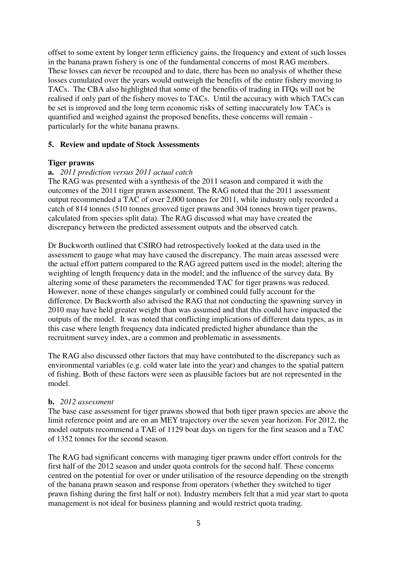offset to some extent by longer term efficiency gains, the frequency and extent of such losses in the banana prawn fishery is one of the fundamental concerns of most RAG members. These losses can never be recouped and to date, there has been no analysis of whether these losses cumulated over the years would outweigh the benefits of the entire fishery moving to TACs. The CBA also highlighted that some of the benefits of trading in ITQs will not be realised if only part of the fishery moves to TACs. Until the accuracy with which TACs can be set is improved and the long term economic risks of setting inaccurately low TACs is quantified and weighed against the proposed benefits, these concerns will remain particularly for the white banana prawns.

### **5. Review and update of Stock Assessments**

### **Tiger prawns**

### **a.** *2011 prediction versus 2011 actual catch*

The RAG was presented with a synthesis of the 2011 season and compared it with the outcomes of the 2011 tiger prawn assessment. The RAG noted that the 2011 assessment output recommended a TAC of over 2,000 tonnes for 2011, while industry only recorded a catch of 814 tonnes (510 tonnes grooved tiger prawns and 304 tonnes brown tiger prawns, calculated from species split data). The RAG discussed what may have created the discrepancy between the predicted assessment outputs and the observed catch.

Dr Buckworth outlined that CSIRO had retrospectively looked at the data used in the assessment to gauge what may have caused the discrepancy. The main areas assessed were the actual effort pattern compared to the RAG agreed pattern used in the model; altering the weighting of length frequency data in the model; and the influence of the survey data. By altering some of these parameters the recommended TAC for tiger prawns was reduced. However, none of these changes singularly or combined could fully account for the difference. Dr Buckworth also advised the RAG that not conducting the spawning survey in 2010 may have held greater weight than was assumed and that this could have impacted the outputs of the model. It was noted that conflicting implications of different data types, as in this case where length frequency data indicated predicted higher abundance than the recruitment survey index, are a common and problematic in assessments.

The RAG also discussed other factors that may have contributed to the discrepancy such as environmental variables (e.g. cold water late into the year) and changes to the spatial pattern of fishing. Both of these factors were seen as plausible factors but are not represented in the model.

### **b.** *2012 assessment*

The base case assessment for tiger prawns showed that both tiger prawn species are above the limit reference point and are on an MEY trajectory over the seven year horizon. For 2012, the model outputs recommend a TAE of 1129 boat days on tigers for the first season and a TAC of 1352 tonnes for the second season.

The RAG had significant concerns with managing tiger prawns under effort controls for the first half of the 2012 season and under quota controls for the second half. These concerns centred on the potential for over or under utilisation of the resource depending on the strength of the banana prawn season and response from operators (whether they switched to tiger prawn fishing during the first half or not). Industry members felt that a mid year start to quota management is not ideal for business planning and would restrict quota trading.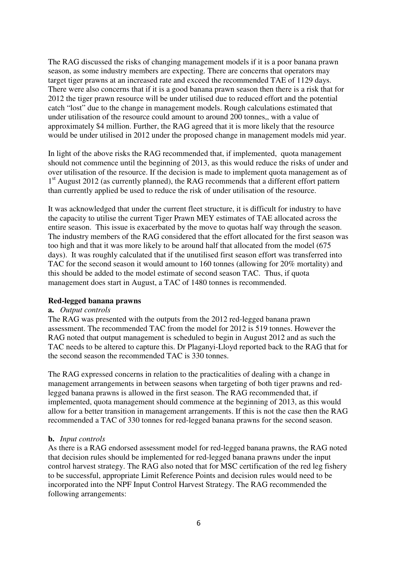The RAG discussed the risks of changing management models if it is a poor banana prawn season, as some industry members are expecting. There are concerns that operators may target tiger prawns at an increased rate and exceed the recommended TAE of 1129 days. There were also concerns that if it is a good banana prawn season then there is a risk that for 2012 the tiger prawn resource will be under utilised due to reduced effort and the potential catch "lost" due to the change in management models. Rough calculations estimated that under utilisation of the resource could amount to around 200 tonnes,, with a value of approximately \$4 million. Further, the RAG agreed that it is more likely that the resource would be under utilised in 2012 under the proposed change in management models mid year.

In light of the above risks the RAG recommended that, if implemented, quota management should not commence until the beginning of 2013, as this would reduce the risks of under and over utilisation of the resource. If the decision is made to implement quota management as of 1<sup>st</sup> August 2012 (as currently planned), the RAG recommends that a different effort pattern than currently applied be used to reduce the risk of under utilisation of the resource.

It was acknowledged that under the current fleet structure, it is difficult for industry to have the capacity to utilise the current Tiger Prawn MEY estimates of TAE allocated across the entire season. This issue is exacerbated by the move to quotas half way through the season. The industry members of the RAG considered that the effort allocated for the first season was too high and that it was more likely to be around half that allocated from the model (675 days). It was roughly calculated that if the unutilised first season effort was transferred into TAC for the second season it would amount to 160 tonnes (allowing for 20% mortality) and this should be added to the model estimate of second season TAC. Thus, if quota management does start in August, a TAC of 1480 tonnes is recommended.

### **Red-legged banana prawns**

#### **a.** *Output controls*

The RAG was presented with the outputs from the 2012 red-legged banana prawn assessment. The recommended TAC from the model for 2012 is 519 tonnes. However the RAG noted that output management is scheduled to begin in August 2012 and as such the TAC needs to be altered to capture this. Dr Plaganyi-Lloyd reported back to the RAG that for the second season the recommended TAC is 330 tonnes.

The RAG expressed concerns in relation to the practicalities of dealing with a change in management arrangements in between seasons when targeting of both tiger prawns and redlegged banana prawns is allowed in the first season. The RAG recommended that, if implemented, quota management should commence at the beginning of 2013, as this would allow for a better transition in management arrangements. If this is not the case then the RAG recommended a TAC of 330 tonnes for red-legged banana prawns for the second season.

### **b.** *Input controls*

As there is a RAG endorsed assessment model for red-legged banana prawns, the RAG noted that decision rules should be implemented for red-legged banana prawns under the input control harvest strategy. The RAG also noted that for MSC certification of the red leg fishery to be successful, appropriate Limit Reference Points and decision rules would need to be incorporated into the NPF Input Control Harvest Strategy. The RAG recommended the following arrangements: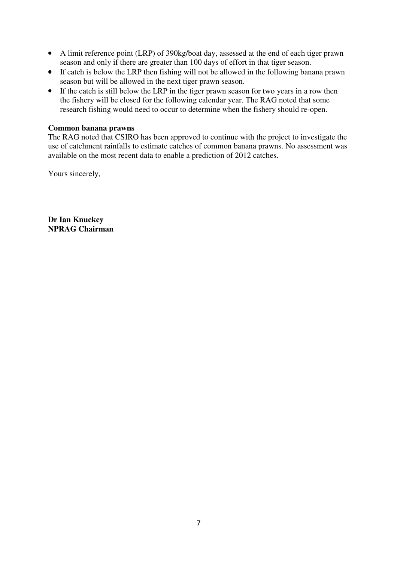- A limit reference point (LRP) of 390kg/boat day, assessed at the end of each tiger prawn season and only if there are greater than 100 days of effort in that tiger season.
- If catch is below the LRP then fishing will not be allowed in the following banana prawn season but will be allowed in the next tiger prawn season.
- If the catch is still below the LRP in the tiger prawn season for two years in a row then the fishery will be closed for the following calendar year. The RAG noted that some research fishing would need to occur to determine when the fishery should re-open.

### **Common banana prawns**

The RAG noted that CSIRO has been approved to continue with the project to investigate the use of catchment rainfalls to estimate catches of common banana prawns. No assessment was available on the most recent data to enable a prediction of 2012 catches.

Yours sincerely,

**Dr Ian Knuckey NPRAG Chairman**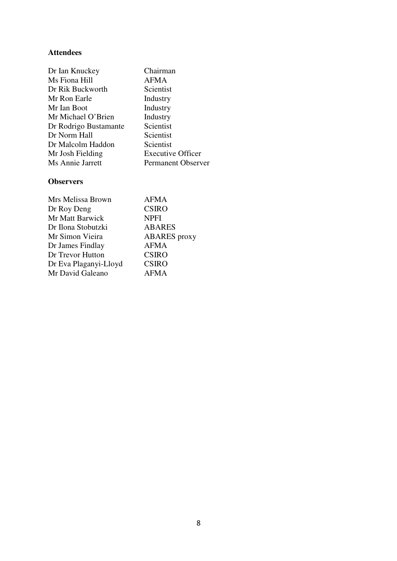## **Attendees**

| Dr Ian Knuckey        | Chairman                  |
|-----------------------|---------------------------|
| Ms Fiona Hill         | <b>AFMA</b>               |
| Dr Rik Buckworth      | Scientist                 |
| Mr Ron Earle          | Industry                  |
| Mr Ian Boot           | Industry                  |
| Mr Michael O'Brien    | Industry                  |
| Dr Rodrigo Bustamante | Scientist                 |
| Dr Norm Hall          | Scientist                 |
| Dr Malcolm Haddon     | Scientist                 |
| Mr Josh Fielding      | <b>Executive Officer</b>  |
| Ms Annie Jarrett      | <b>Permanent Observer</b> |

## **Observers**

| <b>AFMA</b>         |
|---------------------|
| <b>CSIRO</b>        |
| <b>NPFI</b>         |
| <b>ABARES</b>       |
| <b>ABARES</b> proxy |
| <b>AFMA</b>         |
| <b>CSIRO</b>        |
| <b>CSIRO</b>        |
| AFMA                |
|                     |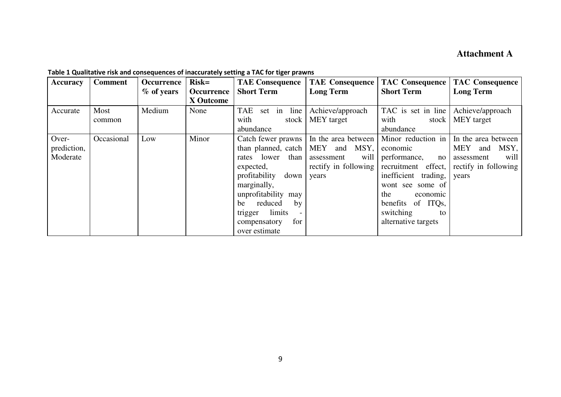# **Attachment A**

| Accuracy    | <b>Comment</b> | Occurrence | <b>Risk=</b>                   | <b>TAE Consequence</b>    | <b>TAE Consequence</b>                   |                      | <b>TAC Consequence   TAC Consequence</b>       |
|-------------|----------------|------------|--------------------------------|---------------------------|------------------------------------------|----------------------|------------------------------------------------|
|             |                | % of years | <b>Occurrence</b><br>X Outcome | <b>Short Term</b>         | <b>Long Term</b>                         | <b>Short Term</b>    | <b>Long Term</b>                               |
|             |                |            |                                |                           |                                          |                      |                                                |
| Accurate    | Most           | Medium     | None                           | set in line<br><b>TAE</b> | Achieve/approach                         | TAC is set in line   | Achieve/approach                               |
|             | common         |            |                                | with<br>stock             | MEY target                               | with                 | stock   MEY target                             |
|             |                |            |                                | abundance                 |                                          | abundance            |                                                |
| Over-       | Occasional     | Low        | Minor                          |                           | Catch fewer prawns   In the area between |                      | Minor reduction in $\vert$ In the area between |
| prediction, |                |            |                                |                           | than planned, catch   MEY and MSY,       | economic             | MEY and<br>MSY,                                |
| Moderate    |                |            |                                | than<br>rates lower       | will<br>assessment                       | performance,         | will<br>no assessment                          |
|             |                |            |                                | expected,                 | rectify in following                     | recruitment effect,  | rectify in following                           |
|             |                |            |                                | profitability<br>down     | years                                    | inefficient trading, | years                                          |
|             |                |            |                                | marginally,               |                                          | wont see some of     |                                                |
|             |                |            |                                | unprofitability may       |                                          | the<br>economic      |                                                |
|             |                |            |                                | reduced<br>by<br>be       |                                          | benefits of ITQs,    |                                                |
|             |                |            |                                | trigger limits            |                                          | switching<br>to      |                                                |
|             |                |            |                                | compensatory<br>for       |                                          | alternative targets  |                                                |
|             |                |            |                                | over estimate             |                                          |                      |                                                |

**Table 1 Qualitative risk and consequences of inaccurately setting a TAC for tiger prawns**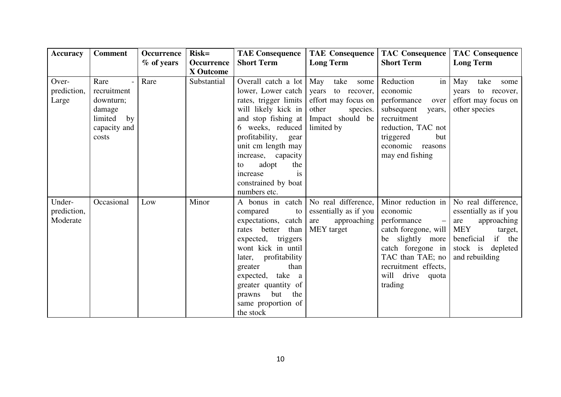| <b>Accuracy</b>                   | <b>Comment</b>                                                                                         | <b>Occurrence</b> | $Risk=$           | <b>TAE Consequence</b>                                                                                                                                                                                                                                                                             | <b>TAE Consequence</b>                                                                                     | <b>TAC Consequence</b>                                                                                                                                                                                     | <b>TAC Consequence</b>                                                                                                                       |
|-----------------------------------|--------------------------------------------------------------------------------------------------------|-------------------|-------------------|----------------------------------------------------------------------------------------------------------------------------------------------------------------------------------------------------------------------------------------------------------------------------------------------------|------------------------------------------------------------------------------------------------------------|------------------------------------------------------------------------------------------------------------------------------------------------------------------------------------------------------------|----------------------------------------------------------------------------------------------------------------------------------------------|
|                                   |                                                                                                        | % of years        | <b>Occurrence</b> | <b>Short Term</b>                                                                                                                                                                                                                                                                                  | <b>Long Term</b>                                                                                           | <b>Short Term</b>                                                                                                                                                                                          | <b>Long Term</b>                                                                                                                             |
|                                   |                                                                                                        |                   | <b>X</b> Outcome  |                                                                                                                                                                                                                                                                                                    |                                                                                                            |                                                                                                                                                                                                            |                                                                                                                                              |
| Over-<br>prediction,<br>Large     | Rare<br>$\blacksquare$<br>recruitment<br>downturn;<br>damage<br>limited<br>by<br>capacity and<br>costs | Rare              | Substantial       | Overall catch a lot May take<br>lower, Lower catch<br>rates, trigger limits<br>will likely kick in<br>and stop fishing at<br>6 weeks, reduced<br>profitability,<br>gear<br>unit cm length may<br>increase, capacity<br>adopt<br>the<br>to<br>is<br>increase<br>constrained by boat<br>numbers etc. | some<br>years<br>to recover,<br>effort may focus on<br>other<br>species.<br>Impact should be<br>limited by | Reduction<br>in<br>economic<br>performance<br>over<br>subsequent<br>years,<br>recruitment<br>reduction, TAC not<br>triggered<br>but<br>economic reasons<br>may end fishing                                 | May<br>take<br>some<br>years<br>to recover,<br>effort may focus on<br>other species                                                          |
| Under-<br>prediction,<br>Moderate | Occasional                                                                                             | Low               | Minor             | A bonus in catch<br>compared<br>to<br>expectations, catch<br>rates better<br>than<br>expected, triggers<br>wont kick in until<br>later, profitability<br>than<br>greater<br>expected, take a<br>greater quantity of<br>but the<br>prawns<br>same proportion of<br>the stock                        | No real difference,<br>essentially as if you<br>approaching<br>are<br>MEY target                           | Minor reduction in<br>economic<br>performance<br>$-1$<br>catch foregone, will   MEY<br>be slightly more<br>catch foregone in<br>TAC than TAE; no<br>recruitment effects,<br>will drive<br>quota<br>trading | No real difference,<br>essentially as if you<br>approaching<br>are<br>target,<br>beneficial<br>if the<br>stock is depleted<br>and rebuilding |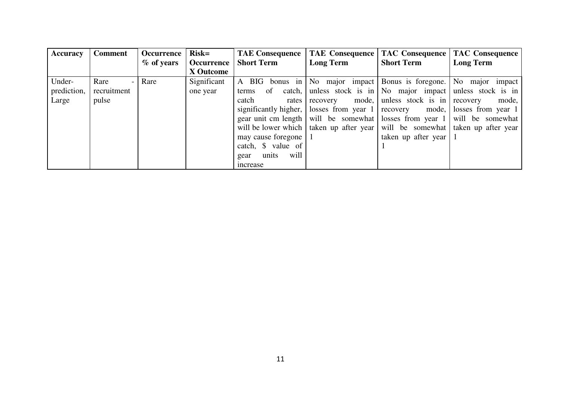| <b>Accuracy</b> | <b>Comment</b>                   | Occurrence | $Risk=$           | <b>TAE Consequence</b>  | TAE Consequence                                                          |                                                       | <b>TAC Consequence   TAC Consequence</b>           |
|-----------------|----------------------------------|------------|-------------------|-------------------------|--------------------------------------------------------------------------|-------------------------------------------------------|----------------------------------------------------|
|                 |                                  | % of years | <b>Occurrence</b> | <b>Short Term</b>       | <b>Long Term</b>                                                         | <b>Short Term</b>                                     | <b>Long Term</b>                                   |
|                 |                                  |            | X Outcome         |                         |                                                                          |                                                       |                                                    |
| Under-          | Rare<br>$\overline{\phantom{0}}$ | Rare       | Significant       | A BIG bonus in          |                                                                          |                                                       | No major impact Bonus is foregone. No major impact |
| prediction,     | recruitment                      |            | one year          | of<br>catch, I<br>terms |                                                                          | unless stock is in No major impact unless stock is in |                                                    |
| Large           | pulse                            |            |                   | catch<br>rates          | mode,<br>recovery                                                        | unless stock is in recovery                           | mode,                                              |
|                 |                                  |            |                   |                         | significantly higher, losses from year 1                                 | recovery                                              | mode, losses from year 1                           |
|                 |                                  |            |                   |                         | gear unit cm length will be somewhat losses from year 1 will be somewhat |                                                       |                                                    |
|                 |                                  |            |                   |                         | will be lower which   taken up after year                                |                                                       | will be somewhat taken up after year               |
|                 |                                  |            |                   | may cause foregone   1  |                                                                          | taken up after year                                   |                                                    |
|                 |                                  |            |                   | catch, \$ value of      |                                                                          |                                                       |                                                    |
|                 |                                  |            |                   | will<br>units<br>gear   |                                                                          |                                                       |                                                    |
|                 |                                  |            |                   | increase                |                                                                          |                                                       |                                                    |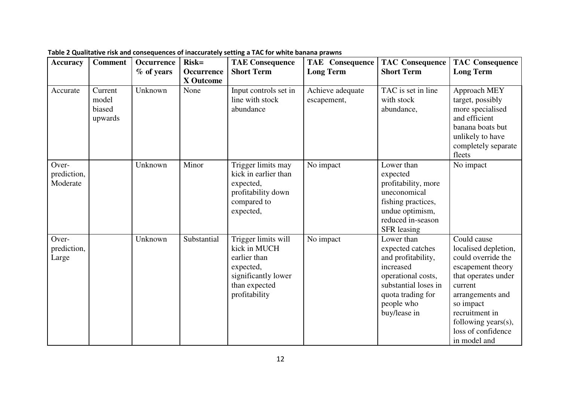| <b>Accuracy</b>                  | <b>Comment</b>                        | <b>Occurrence</b><br>% of years | $Risk=$<br><b>Occurrence</b><br><b>X</b> Outcome | <b>TAE Consequence</b><br><b>Short Term</b>                                                                               | <b>TAE</b> Consequence<br><b>Long Term</b> | <b>TAC Consequence</b><br><b>Short Term</b>                                                                                                                        | <b>TAC Consequence</b><br><b>Long Term</b>                                                                                                                                                                                       |
|----------------------------------|---------------------------------------|---------------------------------|--------------------------------------------------|---------------------------------------------------------------------------------------------------------------------------|--------------------------------------------|--------------------------------------------------------------------------------------------------------------------------------------------------------------------|----------------------------------------------------------------------------------------------------------------------------------------------------------------------------------------------------------------------------------|
| Accurate                         | Current<br>model<br>biased<br>upwards | Unknown                         | None                                             | Input controls set in<br>line with stock<br>abundance                                                                     | Achieve adequate<br>escapement,            | TAC is set in line<br>with stock<br>abundance,                                                                                                                     | Approach MEY<br>target, possibly<br>more specialised<br>and efficient<br>banana boats but<br>unlikely to have<br>completely separate<br>fleets                                                                                   |
| Over-<br>prediction,<br>Moderate |                                       | Unknown                         | Minor                                            | Trigger limits may<br>kick in earlier than<br>expected,<br>profitability down<br>compared to<br>expected,                 | No impact                                  | Lower than<br>expected<br>profitability, more<br>uneconomical<br>fishing practices,<br>undue optimism,<br>reduced in-season<br><b>SFR</b> leasing                  | No impact                                                                                                                                                                                                                        |
| Over-<br>prediction,<br>Large    |                                       | Unknown                         | Substantial                                      | Trigger limits will<br>kick in MUCH<br>earlier than<br>expected,<br>significantly lower<br>than expected<br>profitability | No impact                                  | Lower than<br>expected catches<br>and profitability,<br>increased<br>operational costs,<br>substantial loses in<br>quota trading for<br>people who<br>buy/lease in | Could cause<br>localised depletion,<br>could override the<br>escapement theory<br>that operates under<br>current<br>arrangements and<br>so impact<br>recruitment in<br>following years(s),<br>loss of confidence<br>in model and |

**Table 2 Qualitative risk and consequences of inaccurately setting a TAC for white banana prawns**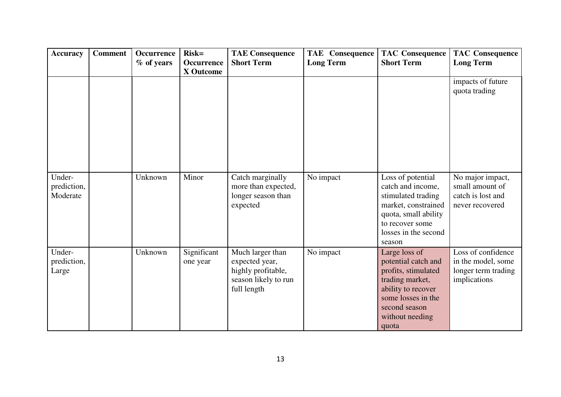| <b>Accuracy</b>                   | <b>Comment</b> | Occurrence<br>$%$ of years | $Risk=$<br>Occurrence<br><b>X</b> Outcome | <b>TAE Consequence</b><br><b>Short Term</b>                                                     | <b>TAE</b> Consequence<br><b>Long Term</b> | <b>TAC Consequence</b><br><b>Short Term</b>                                                                                                                             | <b>TAC Consequence</b><br><b>Long Term</b>                                      |
|-----------------------------------|----------------|----------------------------|-------------------------------------------|-------------------------------------------------------------------------------------------------|--------------------------------------------|-------------------------------------------------------------------------------------------------------------------------------------------------------------------------|---------------------------------------------------------------------------------|
|                                   |                |                            |                                           |                                                                                                 |                                            |                                                                                                                                                                         | impacts of future<br>quota trading                                              |
| Under-<br>prediction,<br>Moderate |                | Unknown                    | Minor                                     | Catch marginally<br>more than expected,<br>longer season than<br>expected                       | No impact                                  | Loss of potential<br>catch and income,<br>stimulated trading<br>market, constrained<br>quota, small ability<br>to recover some<br>losses in the second<br>season        | No major impact,<br>small amount of<br>catch is lost and<br>never recovered     |
| Under-<br>prediction,<br>Large    |                | Unknown                    | Significant<br>one year                   | Much larger than<br>expected year,<br>highly profitable,<br>season likely to run<br>full length | No impact                                  | Large loss of<br>potential catch and<br>profits, stimulated<br>trading market,<br>ability to recover<br>some losses in the<br>second season<br>without needing<br>quota | Loss of confidence<br>in the model, some<br>longer term trading<br>implications |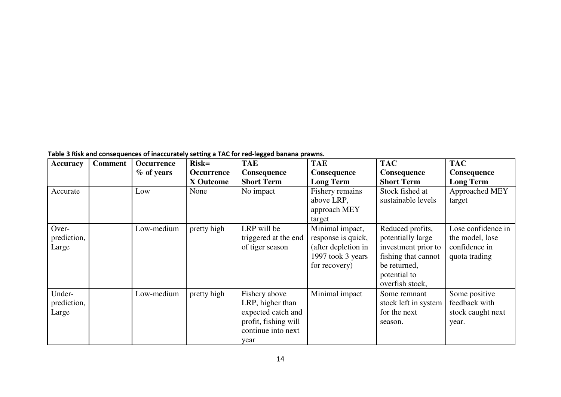**Table 3 Risk and consequences of inaccurately setting a TAC for red-legged banana prawns.**

| <b>Accuracy</b>                | <b>Comment</b> | Occurrence   | $Risk=$     | <b>TAE</b>                                                                                                    | <b>TAE</b>                                                                                         | <b>TAC</b>                                                                                                                             | <b>TAC</b>                                                              |
|--------------------------------|----------------|--------------|-------------|---------------------------------------------------------------------------------------------------------------|----------------------------------------------------------------------------------------------------|----------------------------------------------------------------------------------------------------------------------------------------|-------------------------------------------------------------------------|
|                                |                | $%$ of years | Occurrence  | <b>Consequence</b>                                                                                            | <b>Consequence</b>                                                                                 | <b>Consequence</b>                                                                                                                     | Consequence                                                             |
|                                |                |              | X Outcome   | <b>Short Term</b>                                                                                             | <b>Long Term</b>                                                                                   | <b>Short Term</b>                                                                                                                      | <b>Long Term</b>                                                        |
| Accurate                       |                | Low          | None        | No impact                                                                                                     | Fishery remains<br>above LRP,<br>approach MEY<br>target                                            | Stock fished at<br>sustainable levels                                                                                                  | Approached MEY<br>target                                                |
| Over-<br>prediction,<br>Large  |                | Low-medium   | pretty high | LRP will be<br>triggered at the end<br>of tiger season                                                        | Minimal impact,<br>response is quick,<br>(after depletion in<br>1997 took 3 years<br>for recovery) | Reduced profits,<br>potentially large<br>investment prior to<br>fishing that cannot<br>be returned,<br>potential to<br>overfish stock, | Lose confidence in<br>the model, lose<br>confidence in<br>quota trading |
| Under-<br>prediction,<br>Large |                | Low-medium   | pretty high | Fishery above<br>LRP, higher than<br>expected catch and<br>profit, fishing will<br>continue into next<br>year | Minimal impact                                                                                     | Some remnant<br>stock left in system<br>for the next<br>season.                                                                        | Some positive<br>feedback with<br>stock caught next<br>year.            |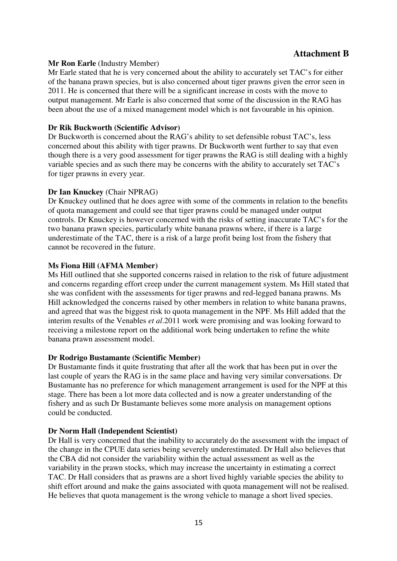## **Attachment B**

### **Mr Ron Earle** (Industry Member)

Mr Earle stated that he is very concerned about the ability to accurately set TAC's for either of the banana prawn species, but is also concerned about tiger prawns given the error seen in 2011. He is concerned that there will be a significant increase in costs with the move to output management. Mr Earle is also concerned that some of the discussion in the RAG has been about the use of a mixed management model which is not favourable in his opinion.

### **Dr Rik Buckworth (Scientific Advisor)**

Dr Buckworth is concerned about the RAG's ability to set defensible robust TAC's, less concerned about this ability with tiger prawns. Dr Buckworth went further to say that even though there is a very good assessment for tiger prawns the RAG is still dealing with a highly variable species and as such there may be concerns with the ability to accurately set TAC's for tiger prawns in every year.

### **Dr Ian Knuckey** (Chair NPRAG)

Dr Knuckey outlined that he does agree with some of the comments in relation to the benefits of quota management and could see that tiger prawns could be managed under output controls. Dr Knuckey is however concerned with the risks of setting inaccurate TAC's for the two banana prawn species, particularly white banana prawns where, if there is a large underestimate of the TAC, there is a risk of a large profit being lost from the fishery that cannot be recovered in the future.

### **Ms Fiona Hill (AFMA Member)**

Ms Hill outlined that she supported concerns raised in relation to the risk of future adjustment and concerns regarding effort creep under the current management system. Ms Hill stated that she was confident with the assessments for tiger prawns and red-legged banana prawns. Ms Hill acknowledged the concerns raised by other members in relation to white banana prawns, and agreed that was the biggest risk to quota management in the NPF. Ms Hill added that the interim results of the Venables *et al*.2011 work were promising and was looking forward to receiving a milestone report on the additional work being undertaken to refine the white banana prawn assessment model.

### **Dr Rodrigo Bustamante (Scientific Member)**

Dr Bustamante finds it quite frustrating that after all the work that has been put in over the last couple of years the RAG is in the same place and having very similar conversations. Dr Bustamante has no preference for which management arrangement is used for the NPF at this stage. There has been a lot more data collected and is now a greater understanding of the fishery and as such Dr Bustamante believes some more analysis on management options could be conducted.

### **Dr Norm Hall (Independent Scientist)**

Dr Hall is very concerned that the inability to accurately do the assessment with the impact of the change in the CPUE data series being severely underestimated. Dr Hall also believes that the CBA did not consider the variability within the actual assessment as well as the variability in the prawn stocks, which may increase the uncertainty in estimating a correct TAC. Dr Hall considers that as prawns are a short lived highly variable species the ability to shift effort around and make the gains associated with quota management will not be realised. He believes that quota management is the wrong vehicle to manage a short lived species.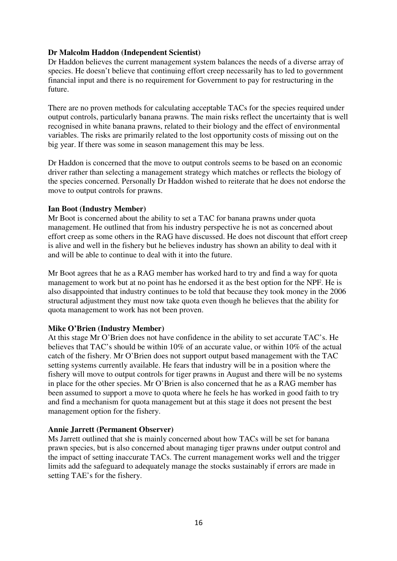### **Dr Malcolm Haddon (Independent Scientist)**

Dr Haddon believes the current management system balances the needs of a diverse array of species. He doesn't believe that continuing effort creep necessarily has to led to government financial input and there is no requirement for Government to pay for restructuring in the future.

There are no proven methods for calculating acceptable TACs for the species required under output controls, particularly banana prawns. The main risks reflect the uncertainty that is well recognised in white banana prawns, related to their biology and the effect of environmental variables. The risks are primarily related to the lost opportunity costs of missing out on the big year. If there was some in season management this may be less.

Dr Haddon is concerned that the move to output controls seems to be based on an economic driver rather than selecting a management strategy which matches or reflects the biology of the species concerned. Personally Dr Haddon wished to reiterate that he does not endorse the move to output controls for prawns.

### **Ian Boot (Industry Member)**

Mr Boot is concerned about the ability to set a TAC for banana prawns under quota management. He outlined that from his industry perspective he is not as concerned about effort creep as some others in the RAG have discussed. He does not discount that effort creep is alive and well in the fishery but he believes industry has shown an ability to deal with it and will be able to continue to deal with it into the future.

Mr Boot agrees that he as a RAG member has worked hard to try and find a way for quota management to work but at no point has he endorsed it as the best option for the NPF. He is also disappointed that industry continues to be told that because they took money in the 2006 structural adjustment they must now take quota even though he believes that the ability for quota management to work has not been proven.

### **Mike O'Brien (Industry Member)**

At this stage Mr O'Brien does not have confidence in the ability to set accurate TAC's. He believes that TAC's should be within 10% of an accurate value, or within 10% of the actual catch of the fishery. Mr O'Brien does not support output based management with the TAC setting systems currently available. He fears that industry will be in a position where the fishery will move to output controls for tiger prawns in August and there will be no systems in place for the other species. Mr O'Brien is also concerned that he as a RAG member has been assumed to support a move to quota where he feels he has worked in good faith to try and find a mechanism for quota management but at this stage it does not present the best management option for the fishery.

### **Annie Jarrett (Permanent Observer)**

Ms Jarrett outlined that she is mainly concerned about how TACs will be set for banana prawn species, but is also concerned about managing tiger prawns under output control and the impact of setting inaccurate TACs. The current management works well and the trigger limits add the safeguard to adequately manage the stocks sustainably if errors are made in setting TAE's for the fishery.